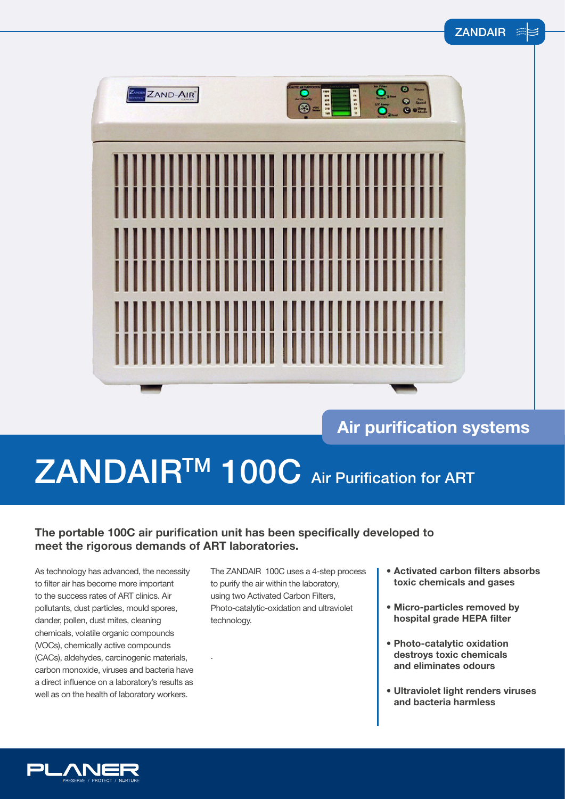| ZAND-AIR | 0<br>$\begin{array}{c} 0 \\ 0 \\ \hline \end{array}$<br>220125<br>$\frac{1}{2}$<br>$\sim$ Gusty<br>® |
|----------|------------------------------------------------------------------------------------------------------|
|          |                                                                                                      |
| I<br>İİ  |                                                                                                      |

### **Air purification systems**

# ZANDAIR<sup>TM</sup> 100C Air Purification for ART

### **The portable 100C air purification unit has been specifically developed to meet the rigorous demands of ART laboratories.**

.

As technology has advanced, the necessity to filter air has become more important to the success rates of ART clinics. Air pollutants, dust particles, mould spores, dander, pollen, dust mites, cleaning chemicals, volatile organic compounds (VOCs), chemically active compounds (CACs), aldehydes, carcinogenic materials, carbon monoxide, viruses and bacteria have a direct influence on a laboratory's results as well as on the health of laboratory workers.

The ZANDAIR 100C uses a 4-step process to purify the air within the laboratory, using two Activated Carbon Filters, Photo-catalytic-oxidation and ultraviolet technology.

- **Activated carbon filters absorbs toxic chemicals and gases**
- **• Micro-particles removed by hospital grade HEPA filter**
- **Photo-catalytic oxidation destroys toxic chemicals and eliminates odours**
- **Ultraviolet light renders viruses and bacteria harmless**